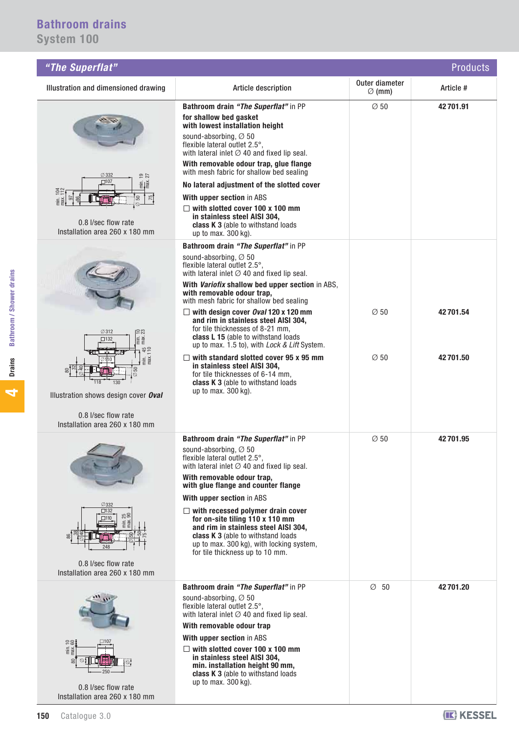| "The Superflat"<br><b>Products</b>                                                                                                                                                                       |                                                                                                                                                                                                                                                                                                                                                                                                                                                                                                                                                                                                                                                                                                              |                                      |                      |
|----------------------------------------------------------------------------------------------------------------------------------------------------------------------------------------------------------|--------------------------------------------------------------------------------------------------------------------------------------------------------------------------------------------------------------------------------------------------------------------------------------------------------------------------------------------------------------------------------------------------------------------------------------------------------------------------------------------------------------------------------------------------------------------------------------------------------------------------------------------------------------------------------------------------------------|--------------------------------------|----------------------|
| Illustration and dimensioned drawing                                                                                                                                                                     | Article description                                                                                                                                                                                                                                                                                                                                                                                                                                                                                                                                                                                                                                                                                          | Outer diameter<br>$\varnothing$ (mm) | Article #            |
| $\oslash$ 332<br>$\frac{2}{2}$<br>$\square$ 107<br>$m = \frac{1}{2}$<br>$\frac{75}{4}$<br>50<br>5<br>0.8 l/sec flow rate<br>Installation area 260 x 180 mm                                               | Bathroom drain "The Superflat" in PP<br>for shallow bed gasket<br>with lowest installation height<br>sound-absorbing, Ø 50<br>flexible lateral outlet 2.5°,<br>with lateral inlet $\oslash$ 40 and fixed lip seal.<br>With removable odour trap, glue flange<br>with mesh fabric for shallow bed sealing<br>No lateral adjustment of the slotted cover<br>With upper section in ABS<br>$\Box$ with slotted cover 100 x 100 mm<br>in stainless steel AISI 304,<br>class K 3 (able to withstand loads<br>up to max. 300 kg).                                                                                                                                                                                   | $\varnothing$ 50                     | 42 701.91            |
| $\emptyset$ 312<br>58<br>min.<br>max.<br>$\square$ 132<br>min.<br>max.<br>50<br>$\oslash$<br>118<br>130<br>Illustration shows design cover Oval<br>0.8 I/sec flow rate<br>Installation area 260 x 180 mm | Bathroom drain "The Superflat" in PP<br>sound-absorbing, $\varnothing$ 50<br>flexible lateral outlet 2.5°,<br>with lateral inlet $\oslash$ 40 and fixed lip seal.<br>With Variofix shallow bed upper section in ABS,<br>with removable odour trap,<br>with mesh fabric for shallow bed sealing<br>$\Box$ with design cover Oval 120 x 120 mm<br>and rim in stainless steel AISI 304,<br>for tile thicknesses of 8-21 mm,<br>class L 15 (able to withstand loads<br>up to max. 1.5 to), with <i>Lock &amp; Lift</i> System.<br>$\Box$ with standard slotted cover 95 x 95 mm<br>in stainless steel AISI 304,<br>for tile thicknesses of 6-14 mm,<br>class K 3 (able to withstand loads<br>up to max. 300 kg). | $\varnothing$ 50<br>$\varnothing$ 50 | 42701.54<br>42701.50 |
| $\varnothing$ 332<br>$\square$ 132<br>25 <sub>0</sub><br>$\square$ 110<br>248<br>0.8 I/sec flow rate<br>Installation area 260 x 180 mm                                                                   | Bathroom drain "The Superflat" in PP<br>sound-absorbing, Ø 50<br>flexible lateral outlet 2.5°,<br>with lateral inlet $\varnothing$ 40 and fixed lip seal.<br>With removable odour trap,<br>with glue flange and counter flange<br>With upper section in ABS<br>$\Box$ with recessed polymer drain cover<br>for on-site tiling 110 x 110 mm<br>and rim in stainless steel AISI 304,<br>class K 3 (able to withstand loads<br>up to max. 300 kg), with locking system,<br>for tile thickness up to 10 mm.                                                                                                                                                                                                      | $\varnothing$ 50                     | 42701.95             |
| $\frac{\text{min. 10}}{\text{max. 60}}$<br>$\frac{2}{2}$<br>$\otimes$ : $\vdash$<br>0.8 l/sec flow rate<br>Installation area 260 x 180 mm                                                                | Bathroom drain "The Superflat" in PP<br>sound-absorbing, $\varnothing$ 50<br>flexible lateral outlet 2.5°,<br>with lateral inlet $\varnothing$ 40 and fixed lip seal.<br>With removable odour trap<br>With upper section in ABS<br>$\Box$ with slotted cover 100 x 100 mm<br>in stainless steel AISI 304,<br>min. installation height 90 mm,<br>class K 3 (able to withstand loads<br>up to max. 300 kg).                                                                                                                                                                                                                                                                                                    | $\varnothing$ 50                     | 42701.20             |

**4**